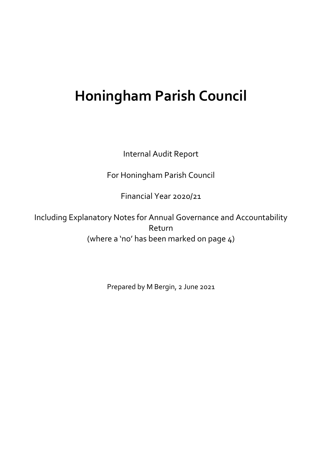## **Honingham Parish Council**

Internal Audit Report

For Honingham Parish Council

Financial Year 2020/21

Including Explanatory Notes for Annual Governance and Accountability Return (where a 'no' has been marked on page 4)

Prepared by M Bergin, 2 June 2021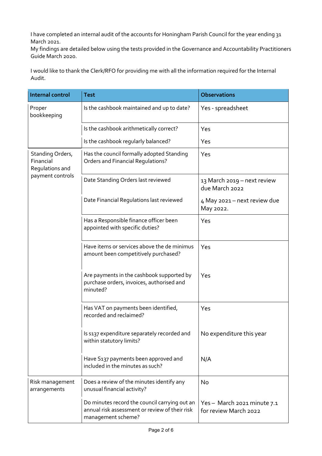I have completed an internal audit of the accounts for Honingham Parish Council for the year ending 31 March 2021.

My findings are detailed below using the tests provided in the Governance and Accountability Practitioners Guide March 2020.

I would like to thank the Clerk/RFO for providing me with all the information required for the Internal Audit.

| <b>Internal control</b>                                              | <b>Test</b>                                                                                                           | <b>Observations</b>                                |
|----------------------------------------------------------------------|-----------------------------------------------------------------------------------------------------------------------|----------------------------------------------------|
| Proper<br>bookkeeping                                                | Is the cashbook maintained and up to date?                                                                            | Yes - spreadsheet                                  |
|                                                                      | Is the cashbook arithmetically correct?                                                                               | Yes                                                |
|                                                                      | Is the cashbook regularly balanced?                                                                                   | Yes                                                |
| Standing Orders,<br>Financial<br>Regulations and<br>payment controls | Has the council formally adopted Standing<br><b>Orders and Financial Regulations?</b>                                 | Yes                                                |
|                                                                      | Date Standing Orders last reviewed                                                                                    | 13 March 2019 – next review<br>due March 2022      |
|                                                                      | Date Financial Regulations last reviewed                                                                              | 4 May 2021 – next review due<br>May 2022.          |
|                                                                      | Has a Responsible finance officer been<br>appointed with specific duties?                                             | Yes                                                |
|                                                                      | Have items or services above the de minimus<br>amount been competitively purchased?                                   | Yes                                                |
|                                                                      | Are payments in the cashbook supported by<br>purchase orders, invoices, authorised and<br>minuted?                    | Yes                                                |
|                                                                      | Has VAT on payments been identified,<br>recorded and reclaimed?                                                       | Yes                                                |
|                                                                      | Is s137 expenditure separately recorded and<br>within statutory limits?                                               | No expenditure this year                           |
|                                                                      | Have S137 payments been approved and<br>included in the minutes as such?                                              | N/A                                                |
| Risk management<br>arrangements                                      | Does a review of the minutes identify any<br>unusual financial activity?                                              | No                                                 |
|                                                                      | Do minutes record the council carrying out an<br>annual risk assessment or review of their risk<br>management scheme? | Yes-March 2021 minute 7.1<br>for review March 2022 |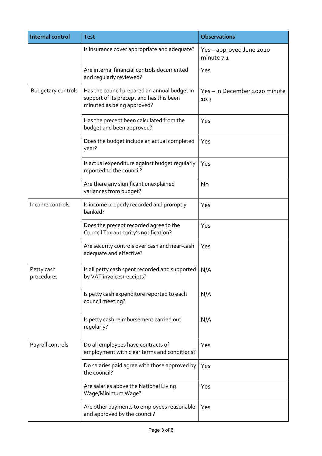| <b>Internal control</b>   | <b>Test</b>                                                                                                            | <b>Observations</b>                  |
|---------------------------|------------------------------------------------------------------------------------------------------------------------|--------------------------------------|
|                           | Is insurance cover appropriate and adequate?                                                                           | Yes-approved June 2020<br>minute 7.1 |
|                           | Are internal financial controls documented<br>and regularly reviewed?                                                  | Yes                                  |
| <b>Budgetary controls</b> | Has the council prepared an annual budget in<br>support of its precept and has this been<br>minuted as being approved? | Yes-in December 2020 minute<br>10.3  |
|                           | Has the precept been calculated from the<br>budget and been approved?                                                  | Yes                                  |
|                           | Does the budget include an actual completed<br>year?                                                                   | Yes                                  |
|                           | Is actual expenditure against budget regularly<br>reported to the council?                                             | Yes                                  |
|                           | Are there any significant unexplained<br>variances from budget?                                                        | No                                   |
| Income controls           | Is income properly recorded and promptly<br>banked?                                                                    | Yes                                  |
|                           | Does the precept recorded agree to the<br>Council Tax authority's notification?                                        | Yes                                  |
|                           | Are security controls over cash and near-cash<br>adequate and effective?                                               | Yes                                  |
| Petty cash<br>procedures  | Is all petty cash spent recorded and supported<br>by VAT invoices/receipts?                                            | N/A                                  |
|                           | Is petty cash expenditure reported to each<br>council meeting?                                                         | N/A                                  |
|                           | Is petty cash reimbursement carried out<br>regularly?                                                                  | N/A                                  |
| Payroll controls          | Do all employees have contracts of<br>employment with clear terms and conditions?                                      | Yes                                  |
|                           | Do salaries paid agree with those approved by<br>the council?                                                          | Yes                                  |
|                           | Are salaries above the National Living<br>Wage/Minimum Wage?                                                           | Yes                                  |
|                           | Are other payments to employees reasonable<br>and approved by the council?                                             | Yes                                  |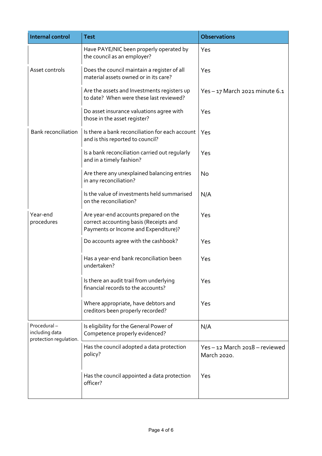| <b>Internal control</b>                                 | <b>Test</b>                                                                                                             | <b>Observations</b>                         |
|---------------------------------------------------------|-------------------------------------------------------------------------------------------------------------------------|---------------------------------------------|
|                                                         | Have PAYE/NIC been properly operated by<br>the council as an employer?                                                  | Yes                                         |
| Asset controls                                          | Does the council maintain a register of all<br>material assets owned or in its care?                                    | Yes                                         |
|                                                         | Are the assets and Investments registers up<br>to date? When were these last reviewed?                                  | Yes-17 March 2021 minute 6.1                |
|                                                         | Do asset insurance valuations agree with<br>those in the asset register?                                                | Yes                                         |
| <b>Bank reconciliation</b>                              | Is there a bank reconciliation for each account<br>and is this reported to council?                                     | Yes                                         |
|                                                         | Is a bank reconciliation carried out regularly<br>and in a timely fashion?                                              | Yes                                         |
|                                                         | Are there any unexplained balancing entries<br>in any reconciliation?                                                   | No                                          |
|                                                         | Is the value of investments held summarised<br>on the reconciliation?                                                   | N/A                                         |
| Year-end<br>procedures                                  | Are year-end accounts prepared on the<br>correct accounting basis (Receipts and<br>Payments or Income and Expenditure)? | Yes                                         |
|                                                         | Do accounts agree with the cashbook?                                                                                    | Yes                                         |
|                                                         | Has a year-end bank reconciliation been<br>undertaken?                                                                  | Yes                                         |
|                                                         | Is there an audit trail from underlying<br>financial records to the accounts?                                           | Yes                                         |
|                                                         | Where appropriate, have debtors and<br>creditors been properly recorded?                                                | Yes                                         |
| Procedural-<br>including data<br>protection regulation. | Is eligibility for the General Power of<br>Competence properly evidenced?                                               | N/A                                         |
|                                                         | Has the council adopted a data protection<br>policy?                                                                    | Yes-12 March 2018 - reviewed<br>March 2020. |
|                                                         | Has the council appointed a data protection<br>officer?                                                                 | Yes                                         |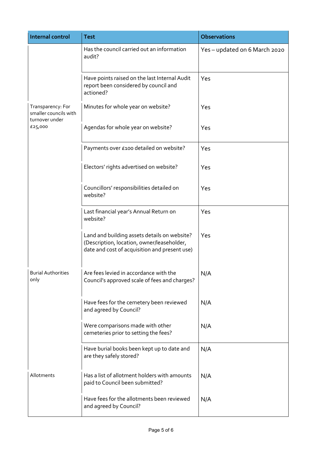| <b>Internal control</b>                                                 | <b>Test</b>                                                                                                                                 | <b>Observations</b>           |
|-------------------------------------------------------------------------|---------------------------------------------------------------------------------------------------------------------------------------------|-------------------------------|
| Transparency: For<br>smaller councils with<br>turnover under<br>£25,000 | Has the council carried out an information<br>audit?                                                                                        | Yes - updated on 6 March 2020 |
|                                                                         | Have points raised on the last Internal Audit<br>report been considered by council and<br>actioned?                                         | Yes                           |
|                                                                         | Minutes for whole year on website?                                                                                                          | Yes                           |
|                                                                         | Agendas for whole year on website?                                                                                                          | Yes                           |
|                                                                         | Payments over £100 detailed on website?                                                                                                     | Yes                           |
|                                                                         | Electors' rights advertised on website?                                                                                                     | Yes                           |
|                                                                         | Councillors' responsibilities detailed on<br>website?                                                                                       | Yes                           |
|                                                                         | Last financial year's Annual Return on<br>website?                                                                                          | Yes                           |
|                                                                         | Land and building assets details on website?<br>(Description, location, owner/leaseholder,<br>date and cost of acquisition and present use) | Yes                           |
| <b>Burial Authorities</b><br>only                                       | Are fees levied in accordance with the<br>Council's approved scale of fees and charges?                                                     | N/A                           |
|                                                                         | Have fees for the cemetery been reviewed<br>and agreed by Council?                                                                          | N/A                           |
|                                                                         | Were comparisons made with other<br>cemeteries prior to setting the fees?                                                                   | N/A                           |
|                                                                         | Have burial books been kept up to date and<br>are they safely stored?                                                                       | N/A                           |
| Allotments                                                              | Has a list of allotment holders with amounts<br>paid to Council been submitted?                                                             | N/A                           |
|                                                                         | Have fees for the allotments been reviewed<br>and agreed by Council?                                                                        | N/A                           |